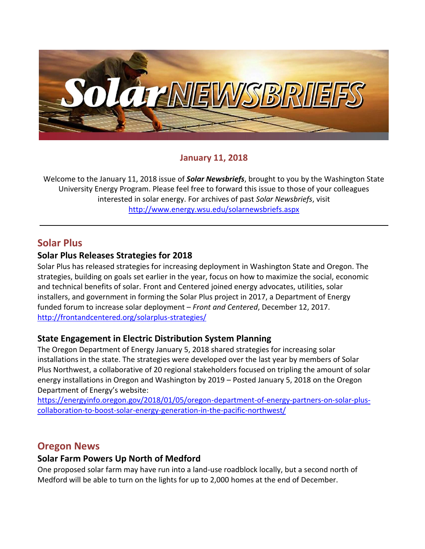

### **January 11, 2018**

Welcome to the January 11, 2018 issue of *Solar Newsbriefs*, brought to you by the Washington State University Energy Program. Please feel free to forward this issue to those of your colleagues interested in solar energy. For archives of past *Solar Newsbriefs*, visit <http://www.energy.wsu.edu/solarnewsbriefs.aspx>

# **Solar Plus**

### **Solar Plus Releases Strategies for 2018**

Solar Plus has released strategies for increasing deployment in Washington State and Oregon. The strategies, building on goals set earlier in the year, focus on how to maximize the social, economic and technical benefits of solar. Front and Centered joined energy advocates, utilities, solar installers, and government in forming the [Solar Plus project](http://frontandcentered.org/solar-plus-project-takes-shape/) in 2017, a Department of Energy funded forum to increase solar deployment – *Front and Centered*, December 12, 2017. <http://frontandcentered.org/solarplus-strategies/>

### **State Engagement in Electric Distribution System Planning**

The Oregon Department of Energy January 5, 2018 shared strategies for increasing solar installations in the state. The strategies were developed over the last year by members of Solar [Plus Northwest,](http://www.solarplusnw.org/) a collaborative of 20 regional stakeholders focused on tripling the amount of solar energy installations in Oregon and Washington by 2019 – Posted January 5, 2018 on the Oregon Department of Energy's website:

[https://energyinfo.oregon.gov/2018/01/05/oregon-department-of-energy-partners-on-solar-plus](https://energyinfo.oregon.gov/2018/01/05/oregon-department-of-energy-partners-on-solar-plus-collaboration-to-boost-solar-energy-generation-in-the-pacific-northwest/)[collaboration-to-boost-solar-energy-generation-in-the-pacific-northwest/](https://energyinfo.oregon.gov/2018/01/05/oregon-department-of-energy-partners-on-solar-plus-collaboration-to-boost-solar-energy-generation-in-the-pacific-northwest/)

## **Oregon News**

### **Solar Farm Powers Up North of Medford**

One proposed solar farm may have run into a land-use roadblock locally, but a second north of Medford will be able to turn on the lights for up to 2,000 homes at the end of December.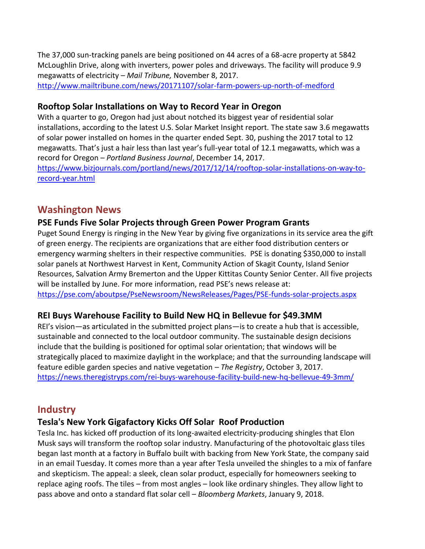The 37,000 sun-tracking panels are being positioned on 44 acres of a 68-acre property at 5842 McLoughlin Drive, along with inverters, power poles and driveways. The facility will produce 9.9 megawatts of electricity – *Mail Tribune,* November 8, 2017. <http://www.mailtribune.com/news/20171107/solar-farm-powers-up-north-of-medford>

#### **Rooftop Solar Installations on Way to Record Year in Oregon**

With a quarter to go, Oregon had just about notched its biggest year of residential solar installations, according to the latest U.S. Solar Market Insight report. The state saw 3.6 megawatts of solar power installed on homes in the quarter ended Sept. 30, pushing the 2017 total to 12 megawatts. That's just a hair less than last year's full-year total of 12.1 megawatts, which was a record for Oregon – *Portland Business Journal*, December 14, 2017. [https://www.bizjournals.com/portland/news/2017/12/14/rooftop-solar-installations-on-way-to-](https://www.bizjournals.com/portland/news/2017/12/14/rooftop-solar-installations-on-way-to-record-year.html)

[record-year.html](https://www.bizjournals.com/portland/news/2017/12/14/rooftop-solar-installations-on-way-to-record-year.html)

## **Washington News**

#### **PSE Funds Five Solar Projects through Green Power Program Grants**

Puget Sound Energy is ringing in the New Year by giving five organizations in its service area the gift of green energy. The recipients are organizations that are either food distribution centers or emergency warming shelters in their respective communities. PSE is donating \$350,000 to install solar panels at Northwest Harvest in Kent, Community Action of Skagit County, Island Senior Resources, Salvation Army Bremerton and the Upper Kittitas County Senior Center. All five projects will be installed by June. For more information, read PSE's news release at: <https://pse.com/aboutpse/PseNewsroom/NewsReleases/Pages/PSE-funds-solar-projects.aspx>

### **REI Buys Warehouse Facility to Build New HQ in Bellevue for \$49.3MM**

REI's vision—as articulated in the submitted project plans—is to create a hub that is accessible, sustainable and connected to the local outdoor community. The sustainable design decisions include that the building is positioned for optimal solar orientation; that windows will be strategically placed to maximize daylight in the workplace; and that the surrounding landscape will feature edible garden species and native vegetation – *The Registry*, October 3, 2017. <https://news.theregistryps.com/rei-buys-warehouse-facility-build-new-hq-bellevue-49-3mm/>

# **Industry**

## **Tesla's New York Gigafactory Kicks Off Solar Roof Production**

Tesla Inc. has kicked off production of its long-awaited electricity-producing shingles that Elon Musk says will transform the rooftop solar industry. Manufacturing of the photovoltaic glass tiles began last month at a factory in Buffalo built with backing from New York State, the company said in an email Tuesday. It comes more than a year after Tesla unveiled the shingles to a mix of fanfare and skepticism. The appeal: a sleek, clean solar product, especially for homeowners seeking to replace aging roofs. The tiles – from most angles – look like ordinary shingles. They allow light to pass above and onto a standard flat solar cell – *Bloomberg Markets*, January 9, 2018.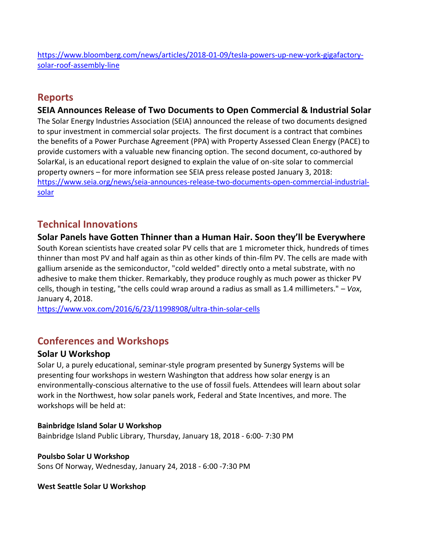[https://www.bloomberg.com/news/articles/2018-01-09/tesla-powers-up-new-york-gigafactory](https://www.bloomberg.com/news/articles/2018-01-09/tesla-powers-up-new-york-gigafactory-solar-roof-assembly-line)[solar-roof-assembly-line](https://www.bloomberg.com/news/articles/2018-01-09/tesla-powers-up-new-york-gigafactory-solar-roof-assembly-line)

# **Reports**

**SEIA Announces Release of Two Documents to Open Commercial & Industrial Solar** The Solar Energy Industries Association (SEIA) announced the release of two documents designed to spur investment in commercial solar projects. Th[e first document](https://www.seia.org/research-resources/model-leases-and-ppas) is a contract that combines the benefits of a Power Purchase Agreement (PPA) with Property Assessed Clean Energy (PACE) to provide customers with a valuable new financing option. The second document, co-authored by SolarKal, is an educational report designed to explain the value of on-site solar to commercial property owners – for more information see SEIA press release posted January 3, 2018: [https://www.seia.org/news/seia-announces-release-two-documents-open-commercial-industrial](https://www.seia.org/news/seia-announces-release-two-documents-open-commercial-industrial-solar)[solar](https://www.seia.org/news/seia-announces-release-two-documents-open-commercial-industrial-solar)

# **Technical Innovations**

### **Solar Panels have Gotten Thinner than a Human Hair. Soon they'll be Everywhere**

South Korean scientists have [created solar PV cells that are 1 micrometer thick,](http://www.eurekalert.org/pub_releases/2016-06/aiop-apl061716.php) hundreds of times thinner than most PV and half again as thin as other kinds of thin-film PV. The cells are made with [gallium arsenide](https://en.wikipedia.org/wiki/Gallium_arsenide) as the semiconductor, "cold welded" directly onto a metal substrate, with no adhesive to make them thicker. Remarkably, they produce roughly as much power as thicker PV cells, though in testing, "the cells could wrap around a radius as small as 1.4 millimeters." – *Vox*, January 4, 2018.

<https://www.vox.com/2016/6/23/11998908/ultra-thin-solar-cells>

# **Conferences and Workshops**

### **Solar U Workshop**

Solar U, a purely educational, seminar-style program presented by Sunergy Systems will be presenting four workshops in western Washington that address how solar energy is an environmentally-conscious alternative to the use of fossil fuels. Attendees will learn about solar work in the Northwest, how solar panels work, Federal and State Incentives, and more. The workshops will be held at:

#### **Bainbridge Island Solar U Workshop**

Bainbridge Island Public Library, Thursday, January 18, 2018 - 6:00- 7:30 PM

#### **Poulsbo Solar U Workshop**

Sons Of Norway, Wednesday, January 24, 2018 - 6:00 -7:30 PM

#### **[West Seattle Solar U Workshop](http://www.solar-u.com/content/west-seattle-solar-u-workshop)**